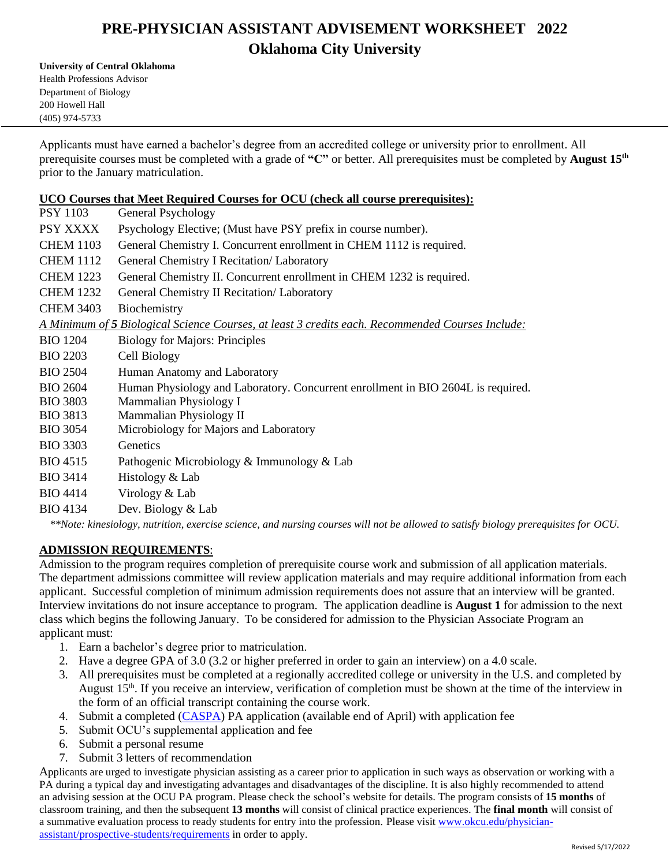# **PRE-PHYSICIAN ASSISTANT ADVISEMENT WORKSHEET 2022 Oklahoma City University**

**University of Central Oklahoma**

Health Professions Advisor Department of Biology 200 Howell Hall (405) 974-5733

Applicants must have earned a bachelor's degree from an accredited college or university prior to enrollment. All prerequisite courses must be completed with a grade of **"C"** or better. All prerequisites must be completed by **August 15th** prior to the January matriculation.

### **UCO Courses that Meet Required Courses for OCU (check all course prerequisites):**

| <b>PSY 1103</b>                                                                                                          | General Psychology                                                                               |
|--------------------------------------------------------------------------------------------------------------------------|--------------------------------------------------------------------------------------------------|
| PSY XXXX                                                                                                                 | Psychology Elective; (Must have PSY prefix in course number).                                    |
| <b>CHEM 1103</b>                                                                                                         | General Chemistry I. Concurrent enrollment in CHEM 1112 is required.                             |
| <b>CHEM 1112</b>                                                                                                         | General Chemistry I Recitation/ Laboratory                                                       |
| <b>CHEM 1223</b>                                                                                                         | General Chemistry II. Concurrent enrollment in CHEM 1232 is required.                            |
| <b>CHEM 1232</b>                                                                                                         | General Chemistry II Recitation/ Laboratory                                                      |
| <b>CHEM 3403</b>                                                                                                         | Biochemistry                                                                                     |
|                                                                                                                          | A Minimum of 5 Biological Science Courses, at least 3 credits each. Recommended Courses Include: |
| <b>BIO 1204</b>                                                                                                          | <b>Biology for Majors: Principles</b>                                                            |
| <b>BIO 2203</b>                                                                                                          | Cell Biology                                                                                     |
| <b>BIO 2504</b>                                                                                                          | Human Anatomy and Laboratory                                                                     |
| <b>BIO 2604</b>                                                                                                          | Human Physiology and Laboratory. Concurrent enrollment in BIO 2604L is required.                 |
| <b>BIO 3803</b>                                                                                                          | Mammalian Physiology I                                                                           |
| <b>BIO 3813</b>                                                                                                          | Mammalian Physiology II                                                                          |
| <b>BIO 3054</b>                                                                                                          | Microbiology for Majors and Laboratory                                                           |
| <b>BIO 3303</b>                                                                                                          | Genetics                                                                                         |
| <b>BIO 4515</b>                                                                                                          | Pathogenic Microbiology & Immunology & Lab                                                       |
| <b>BIO 3414</b>                                                                                                          | Histology & Lab                                                                                  |
| <b>BIO 4414</b>                                                                                                          | Virology & Lab                                                                                   |
| <b>BIO 4134</b>                                                                                                          | Dev. Biology & Lab                                                                               |
| **Note: kinesialaan nytrition exercise seignee, and nyrsing courses will not be allowed to satisfy highean prevequisites |                                                                                                  |

*\*\*Note: kinesiology, nutrition, exercise science, and nursing courses will not be allowed to satisfy biology prerequisites for OCU.*

## **ADMISSION REQUIREMENTS**:

Admission to the program requires completion of prerequisite course work and submission of all application materials. The department admissions committee will review application materials and may require additional information from each applicant. Successful completion of minimum admission requirements does not assure that an interview will be granted. Interview invitations do not insure acceptance to program. The application deadline is **August 1** for admission to the next class which begins the following January. To be considered for admission to the Physician Associate Program an applicant must:

- 1. Earn a bachelor's degree prior to matriculation.
- 2. Have a degree GPA of 3.0 (3.2 or higher preferred in order to gain an interview) on a 4.0 scale.
- 3. All prerequisites must be completed at a regionally accredited college or university in the U.S. and completed by August 15<sup>th</sup>. If you receive an interview, verification of completion must be shown at the time of the interview in the form of an official transcript containing the course work.
- 4. Submit a completed (CASPA) PA application (available end of April) with application fee
- 5. Submit OCU's supplemental application and fee
- 6. Submit a personal resume
- 7. Submit 3 letters of recommendation

Applicants are urged to investigate physician assisting as a career prior to application in such ways as observation or working with a PA during a typical day and investigating advantages and disadvantages of the discipline. It is also highly recommended to attend an advising session at the OCU PA program. Please check the school's website for details. The program consists of **15 months** of classroom training, and then the subsequent **13 months** will consist of clinical practice experiences. The **final month** will consist of a summative evaluation process to ready students for entry into the profession. Please visit www.okcu.edu/physicianassistant/prospective-students/requirements in order to apply.